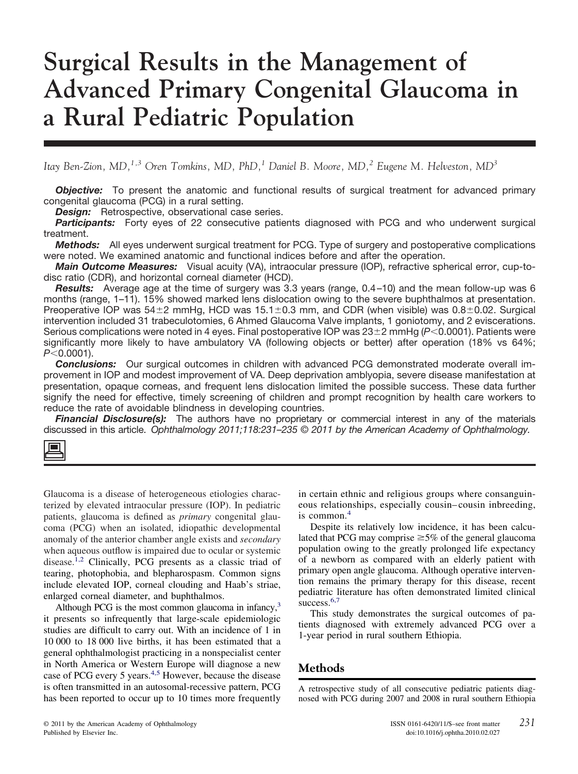# **Surgical Results in the Management of Advanced Primary Congenital Glaucoma in a Rural Pediatric Population**

*Itay Ben-Zion, MD,1,3 Oren Tomkins, MD, PhD,<sup>1</sup> Daniel B. Moore, MD,<sup>2</sup> Eugene M. Helveston, MD<sup>3</sup>*

*Objective:* To present the anatomic and functional results of surgical treatment for advanced primary congenital glaucoma (PCG) in a rural setting.

**Design:** Retrospective, observational case series.

*Participants:* Forty eyes of 22 consecutive patients diagnosed with PCG and who underwent surgical treatment.

*Methods:* All eyes underwent surgical treatment for PCG. Type of surgery and postoperative complications were noted. We examined anatomic and functional indices before and after the operation.

*Main Outcome Measures:* Visual acuity (VA), intraocular pressure (IOP), refractive spherical error, cup-todisc ratio (CDR), and horizontal corneal diameter (HCD).

*Results:* Average age at the time of surgery was 3.3 years (range, 0.4–10) and the mean follow-up was 6 months (range, 1–11). 15% showed marked lens dislocation owing to the severe buphthalmos at presentation. Preoperative IOP was  $54\pm2$  mmHg, HCD was  $15.1\pm0.3$  mm, and CDR (when visible) was  $0.8\pm0.02$ . Surgical intervention included 31 trabeculotomies, 6 Ahmed Glaucoma Valve implants, 1 goniotomy, and 2 eviscerations. Serious complications were noted in 4 eyes. Final postoperative IOP was 23±2 mmHg (*P<* 0.0001). Patients were significantly more likely to have ambulatory VA (following objects or better) after operation (18% vs 64%; *P*-0.0001).

*Conclusions:* Our surgical outcomes in children with advanced PCG demonstrated moderate overall improvement in IOP and modest improvement of VA. Deep deprivation amblyopia, severe disease manifestation at presentation, opaque corneas, and frequent lens dislocation limited the possible success. These data further signify the need for effective, timely screening of children and prompt recognition by health care workers to reduce the rate of avoidable blindness in developing countries.

**Financial Disclosure(s):** The authors have no proprietary or commercial interest in any of the materials discussed in this article. *Ophthalmology 2011;118:231–235 © 2011 by the American Academy of Ophthalmology.*

Glaucoma is a disease of heterogeneous etiologies characterized by elevated intraocular pressure (IOP). In pediatric patients, glaucoma is defined as *primary* congenital glaucoma (PCG) when an isolated, idiopathic developmental anomaly of the anterior chamber angle exists and *secondary* when aqueous outflow is impaired due to ocular or systemic disease.<sup>1,2</sup> Clinically, PCG presents as a classic triad of tearing, photophobia, and blepharospasm. Common signs include elevated IOP, corneal clouding and Haab's striae, enlarged corneal diameter, and buphthalmos.

Although PCG is the most common glaucoma in infancy, $3\overline{3}$ it presents so infrequently that large-scale epidemiologic studies are difficult to carry out. With an incidence of 1 in 10 000 to 18 000 live births, it has been estimated that a general ophthalmologist practicing in a nonspecialist center in North America or Western Europe will diagnose a new case of PCG every 5 years.[4,5](#page-4-0) However, because the disease is often transmitted in an autosomal-recessive pattern, PCG has been reported to occur up to 10 times more frequently

in certain ethnic and religious groups where consanguineous relationships, especially cousin– cousin inbreeding, is common.<sup>[4](#page-4-0)</sup>

Despite its relatively low incidence, it has been calculated that PCG may comprise  $\geq$ 5% of the general glaucoma population owing to the greatly prolonged life expectancy of a newborn as compared with an elderly patient with primary open angle glaucoma. Although operative intervention remains the primary therapy for this disease, recent pediatric literature has often demonstrated limited clinical success.<sup>[6,7](#page-4-0)</sup>

This study demonstrates the surgical outcomes of patients diagnosed with extremely advanced PCG over a 1-year period in rural southern Ethiopia.

# **Methods**

A retrospective study of all consecutive pediatric patients diagnosed with PCG during 2007 and 2008 in rural southern Ethiopia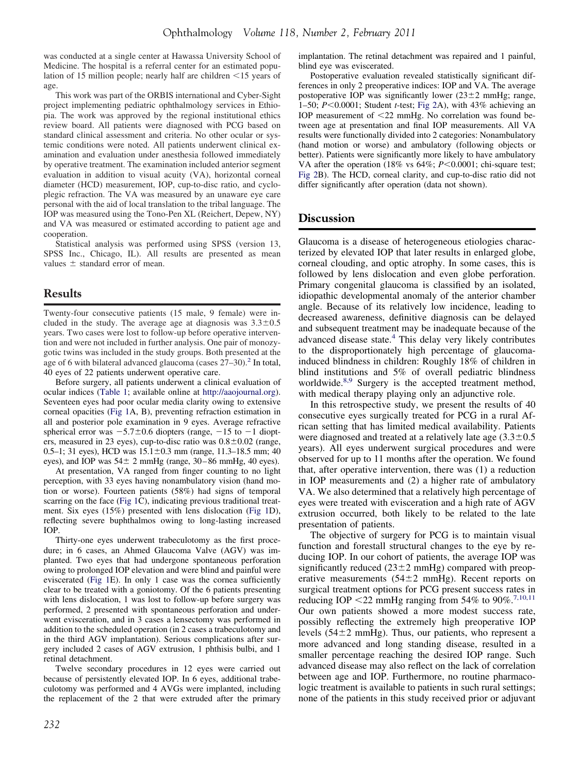was conducted at a single center at Hawassa University School of Medicine. The hospital is a referral center for an estimated population of 15 million people; nearly half are children  $\leq$  15 years of age.

This work was part of the ORBIS international and Cyber-Sight project implementing pediatric ophthalmology services in Ethiopia. The work was approved by the regional institutional ethics review board. All patients were diagnosed with PCG based on standard clinical assessment and criteria. No other ocular or systemic conditions were noted. All patients underwent clinical examination and evaluation under anesthesia followed immediately by operative treatment. The examination included anterior segment evaluation in addition to visual acuity (VA), horizontal corneal diameter (HCD) measurement, IOP, cup-to-disc ratio, and cycloplegic refraction. The VA was measured by an unaware eye care personal with the aid of local translation to the tribal language. The IOP was measured using the Tono-Pen XL (Reichert, Depew, NY) and VA was measured or estimated according to patient age and cooperation.

Statistical analysis was performed using SPSS (version 13, SPSS Inc., Chicago, IL). All results are presented as mean values  $\pm$  standard error of mean.

### **Results**

Twenty-four consecutive patients (15 male, 9 female) were included in the study. The average age at diagnosis was  $3.3 \pm 0.5$ years. Two cases were lost to follow-up before operative intervention and were not included in further analysis. One pair of monozygotic twins was included in the study groups. Both presented at the age of 6 with bilateral advanced glaucoma (cases 27–30).<sup>2</sup> In total, 40 eyes of 22 patients underwent operative care.

Before surgery, all patients underwent a clinical evaluation of ocular indices [\(Table 1;](#page-5-0) available online at [http://aaojournal.org\)](http://aaojournal.org). Seventeen eyes had poor ocular media clarity owing to extensive corneal opacities [\(Fig 1A](#page-2-0), B), preventing refraction estimation in all and posterior pole examination in 9 eyes. Average refractive spherical error was  $-5.7\pm0.6$  diopters (range,  $-15$  to  $-1$  diopters, measured in 23 eyes), cup-to-disc ratio was  $0.8\pm0.02$  (range, 0.5–1; 31 eyes), HCD was  $15.1\pm0.3$  mm (range, 11.3–18.5 mm; 40 eyes), and IOP was  $54 \pm 2$  mmHg (range,  $30 - 86$  mmHg, 40 eyes).

At presentation, VA ranged from finger counting to no light perception, with 33 eyes having nonambulatory vision (hand motion or worse). Fourteen patients (58%) had signs of temporal scarring on the face [\(Fig 1C](#page-2-0)), indicating previous traditional treatment. Six eyes (15%) presented with lens dislocation [\(Fig 1D](#page-2-0)), reflecting severe buphthalmos owing to long-lasting increased IOP.

Thirty-one eyes underwent trabeculotomy as the first procedure; in 6 cases, an Ahmed Glaucoma Valve (AGV) was implanted. Two eyes that had undergone spontaneous perforation owing to prolonged IOP elevation and were blind and painful were eviscerated [\(Fig 1E](#page-2-0)). In only 1 case was the cornea sufficiently clear to be treated with a goniotomy. Of the 6 patients presenting with lens dislocation, 1 was lost to follow-up before surgery was performed, 2 presented with spontaneous perforation and underwent evisceration, and in 3 cases a lensectomy was performed in addition to the scheduled operation (in 2 cases a trabeculotomy and in the third AGV implantation). Serious complications after surgery included 2 cases of AGV extrusion, 1 phthisis bulbi, and 1 retinal detachment.

Twelve secondary procedures in 12 eyes were carried out because of persistently elevated IOP. In 6 eyes, additional trabeculotomy was performed and 4 AVGs were implanted, including the replacement of the 2 that were extruded after the primary

implantation. The retinal detachment was repaired and 1 painful, blind eye was eviscerated.

Postoperative evaluation revealed statistically significant differences in only 2 preoperative indices: IOP and VA. The average postoperative IOP was significantly lower  $(23\pm 2 \text{ mmHg})$ ; range, 1–50; *P*-0.0001; Student *t*-test; [Fig 2A](#page-3-0)), with 43% achieving an IOP measurement of  $\leq$ 22 mmHg. No correlation was found between age at presentation and final IOP measurements. All VA results were functionally divided into 2 categories: Nonambulatory (hand motion or worse) and ambulatory (following objects or better). Patients were significantly more likely to have ambulatory VA after the operation (18% vs 64%;  $P \le 0.0001$ ; chi-square test; [Fig 2B](#page-3-0)). The HCD, corneal clarity, and cup-to-disc ratio did not differ significantly after operation (data not shown).

#### **Discussion**

Glaucoma is a disease of heterogeneous etiologies characterized by elevated IOP that later results in enlarged globe, corneal clouding, and optic atrophy. In some cases, this is followed by lens dislocation and even globe perforation. Primary congenital glaucoma is classified by an isolated, idiopathic developmental anomaly of the anterior chamber angle. Because of its relatively low incidence, leading to decreased awareness, definitive diagnosis can be delayed and subsequent treatment may be inadequate because of the advanced disease state.<sup>[4](#page-4-0)</sup> This delay very likely contributes to the disproportionately high percentage of glaucomainduced blindness in children: Roughly 18% of children in blind institutions and 5% of overall pediatric blindness worldwide.<sup>[8,9](#page-4-0)</sup> Surgery is the accepted treatment method, with medical therapy playing only an adjunctive role.

In this retrospective study, we present the results of 40 consecutive eyes surgically treated for PCG in a rural African setting that has limited medical availability. Patients were diagnosed and treated at a relatively late age  $(3.3\pm0.5$ years). All eyes underwent surgical procedures and were observed for up to 11 months after the operation. We found that, after operative intervention, there was (1) a reduction in IOP measurements and (2) a higher rate of ambulatory VA. We also determined that a relatively high percentage of eyes were treated with evisceration and a high rate of AGV extrusion occurred, both likely to be related to the late presentation of patients.

The objective of surgery for PCG is to maintain visual function and forestall structural changes to the eye by reducing IOP. In our cohort of patients, the average IOP was significantly reduced  $(23\pm 2 \text{ mmHg})$  compared with preoperative measurements  $(54 \pm 2 \text{ mmHg})$ . Recent reports on surgical treatment options for PCG present success rates in reducing IOP  $\leq$  22 mmHg ranging from 54% to 90%.<sup>[7,10,11](#page-4-0)</sup> Our own patients showed a more modest success rate, possibly reflecting the extremely high preoperative IOP levels  $(54\pm2 \text{ mmHg})$ . Thus, our patients, who represent a more advanced and long standing disease, resulted in a smaller percentage reaching the desired IOP range. Such advanced disease may also reflect on the lack of correlation between age and IOP. Furthermore, no routine pharmacologic treatment is available to patients in such rural settings; none of the patients in this study received prior or adjuvant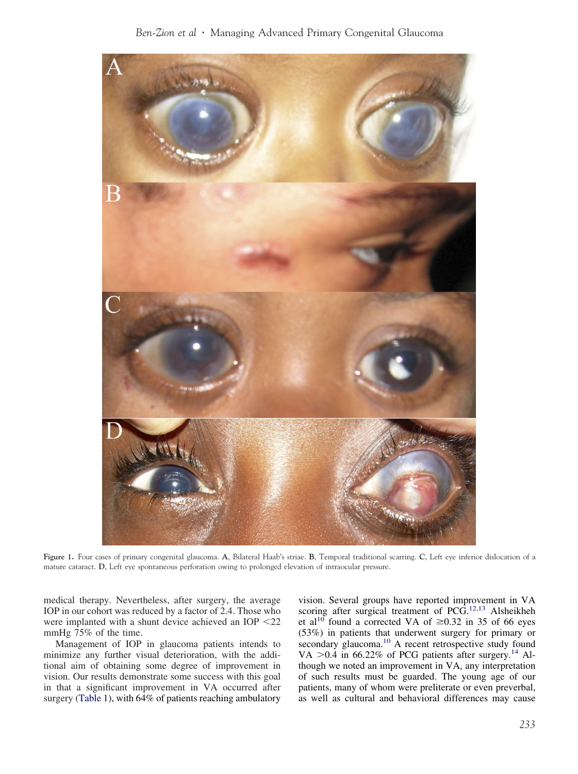<span id="page-2-0"></span>

**Figure 1.** Four cases of primary congenital glaucoma. **A**, Bilateral Haab's striae. **B**, Temporal traditional scarring. **C**, Left eye inferior dislocation of a mature cataract. **D**, Left eye spontaneous perforation owing to prolonged elevation of intraocular pressure.

medical therapy. Nevertheless, after surgery, the average IOP in our cohort was reduced by a factor of 2.4. Those who were implanted with a shunt device achieved an IOP  $<$  22 mmHg 75% of the time.

Management of IOP in glaucoma patients intends to minimize any further visual deterioration, with the additional aim of obtaining some degree of improvement in vision. Our results demonstrate some success with this goal in that a significant improvement in VA occurred after surgery [\(Table 1\)](#page-5-0), with 64% of patients reaching ambulatory

vision. Several groups have reported improvement in VA scoring after surgical treatment of PCG.<sup>[12,13](#page-4-0)</sup> Alsheikheh et al<sup>[10](#page-4-0)</sup> found a corrected VA of  $\geq$ 0.32 in 35 of 66 eyes (53%) in patients that underwent surgery for primary or secondary glaucoma.<sup>[10](#page-4-0)</sup> A recent retrospective study found VA  $> 0.4$  in 66.22% of PCG patients after surgery.<sup>[14](#page-4-0)</sup> Although we noted an improvement in VA, any interpretation of such results must be guarded. The young age of our patients, many of whom were preliterate or even preverbal, as well as cultural and behavioral differences may cause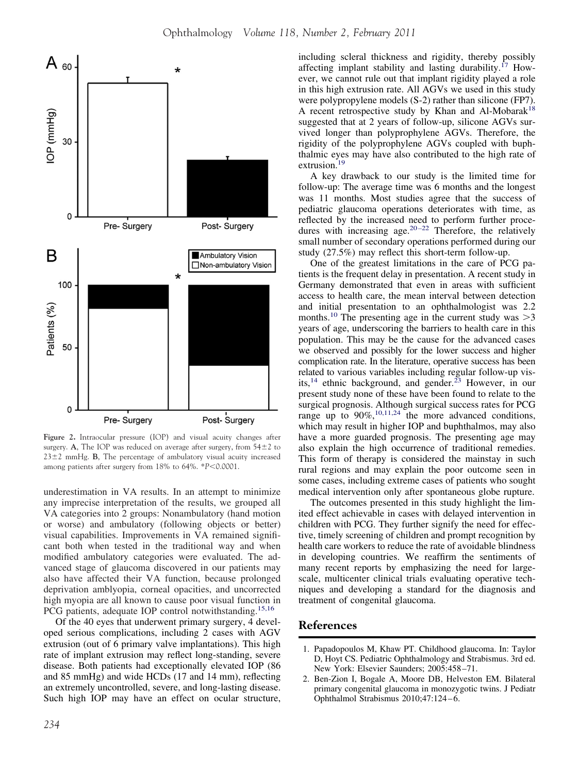<span id="page-3-0"></span>

**Figure 2.** Intraocular pressure (IOP) and visual acuity changes after surgery. **A**, The IOP was reduced on average after surgery, from  $54 \pm 2$  to  $23 \pm 2$  mmHg. **B**, The percentage of ambulatory visual acuity increased among patients after surgery from 18% to 64%. \**P*<0.0001.

underestimation in VA results. In an attempt to minimize any imprecise interpretation of the results, we grouped all VA categories into 2 groups: Nonambulatory (hand motion or worse) and ambulatory (following objects or better) visual capabilities. Improvements in VA remained significant both when tested in the traditional way and when modified ambulatory categories were evaluated. The advanced stage of glaucoma discovered in our patients may also have affected their VA function, because prolonged deprivation amblyopia, corneal opacities, and uncorrected high myopia are all known to cause poor visual function in PCG patients, adequate IOP control notwithstanding.<sup>[15,16](#page-4-0)</sup>

Of the 40 eyes that underwent primary surgery, 4 developed serious complications, including 2 cases with AGV extrusion (out of 6 primary valve implantations). This high rate of implant extrusion may reflect long-standing, severe disease. Both patients had exceptionally elevated IOP (86 and 85 mmHg) and wide HCDs (17 and 14 mm), reflecting an extremely uncontrolled, severe, and long-lasting disease. Such high IOP may have an effect on ocular structure,

including scleral thickness and rigidity, thereby possibly affecting implant stability and lasting durability.<sup>[17](#page-4-0)</sup> However, we cannot rule out that implant rigidity played a role in this high extrusion rate. All AGVs we used in this study were polypropylene models (S-2) rather than silicone (FP7). A recent retrospective study by Khan and Al-Mobarak<sup>[18](#page-4-0)</sup> suggested that at 2 years of follow-up, silicone AGVs survived longer than polyprophylene AGVs. Therefore, the rigidity of the polyprophylene AGVs coupled with buphthalmic eyes may have also contributed to the high rate of extrusion.<sup>[19](#page-4-0)</sup>

A key drawback to our study is the limited time for follow-up: The average time was 6 months and the longest was 11 months. Most studies agree that the success of pediatric glaucoma operations deteriorates with time, as reflected by the increased need to perform further procedures with increasing age.<sup>20-22</sup> Therefore, the relatively small number of secondary operations performed during our study (27.5%) may reflect this short-term follow-up.

One of the greatest limitations in the care of PCG patients is the frequent delay in presentation. A recent study in Germany demonstrated that even in areas with sufficient access to health care, the mean interval between detection and initial presentation to an ophthalmologist was 2.2 months.<sup>[10](#page-4-0)</sup> The presenting age in the current study was  $>3$ years of age, underscoring the barriers to health care in this population. This may be the cause for the advanced cases we observed and possibly for the lower success and higher complication rate. In the literature, operative success has been related to various variables including regular follow-up vis-its,<sup>[14](#page-4-0)</sup> ethnic background, and gender.<sup>[23](#page-4-0)</sup> However, in our present study none of these have been found to relate to the surgical prognosis. Although surgical success rates for PCG range up to  $90\%$ , <sup>10, 11, 24</sup> the more advanced conditions, which may result in higher IOP and buphthalmos, may also have a more guarded prognosis. The presenting age may also explain the high occurrence of traditional remedies. This form of therapy is considered the mainstay in such rural regions and may explain the poor outcome seen in some cases, including extreme cases of patients who sought medical intervention only after spontaneous globe rupture.

The outcomes presented in this study highlight the limited effect achievable in cases with delayed intervention in children with PCG. They further signify the need for effective, timely screening of children and prompt recognition by health care workers to reduce the rate of avoidable blindness in developing countries. We reaffirm the sentiments of many recent reports by emphasizing the need for largescale, multicenter clinical trials evaluating operative techniques and developing a standard for the diagnosis and treatment of congenital glaucoma.

#### **References**

- 1. Papadopoulos M, Khaw PT. Childhood glaucoma. In: Taylor D, Hoyt CS. Pediatric Ophthalmology and Strabismus. 3rd ed. New York: Elsevier Saunders; 2005:458 –71.
- 2. Ben-Zion I, Bogale A, Moore DB, Helveston EM. Bilateral primary congenital glaucoma in monozygotic twins. J Pediatr Ophthalmol Strabismus 2010;47:124-6.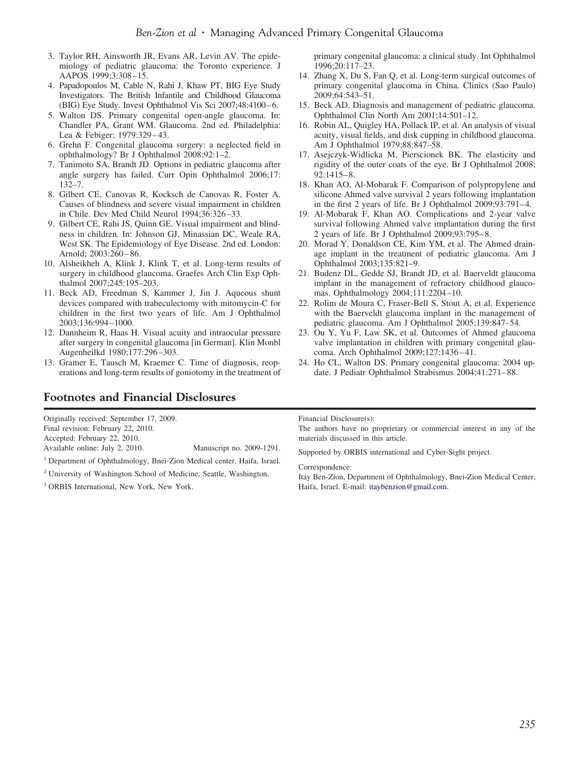- <span id="page-4-0"></span>3. Taylor RH, Ainsworth JR, Evans AR, Levin AV. The epidemiology of pediatric glaucoma: the Toronto experience. J AAPOS 1999;3:308 –15.
- 4. Papadopoulos M, Cable N, Rahi J, Khaw PT, BIG Eye Study Investigators. The British Infantile and Childhood Glaucoma (BIG) Eye Study. Invest Ophthalmol Vis Sci 2007;48:4100-6.
- 5. Walton DS. Primary congenital open-angle glaucoma. In: Chandler PA, Grant WM. Glaucoma. 2nd ed. Philadelphia: Lea & Febiger; 1979:329 – 43.
- 6. Grehn F. Congenital glaucoma surgery: a neglected field in ophthalmology? Br J Ophthalmol 2008;92:1–2.
- 7. Tanimoto SA, Brandt JD. Options in pediatric glaucoma after angle surgery has failed. Curr Opin Ophthalmol 2006;17: 132–7.
- 8. Gilbert CE, Canovas R, Kocksch de Canovas R, Foster A. Causes of blindness and severe visual impairment in children in Chile. Dev Med Child Neurol 1994;36:326 –33.
- 9. Gilbert CE, Rahi JS, Quinn GE. Visual impairment and blindness in children. In: Johnson GJ, Minassian DC, Weale RA, West SK. The Epidemiology of Eye Disease. 2nd ed. London: Arnold; 2003:260 – 86.
- 10. Alsheikheh A, Klink J, Klink T, et al. Long-term results of surgery in childhood glaucoma. Graefes Arch Clin Exp Ophthalmol 2007;245:195–203.
- 11. Beck AD, Freedman S, Kammer J, Jin J. Aqueous shunt devices compared with trabeculectomy with mitomycin-C for children in the first two years of life. Am J Ophthalmol 2003;136:994 –1000.
- 12. Dannheim R, Haas H. Visual acuity and intraocular pressure after surgery in congenital glaucoma [in German]. Klin Monbl Augenheilkd 1980;177:296 –303.
- 13. Gramer E, Tausch M, Kraemer C. Time of diagnosis, reoperations and long-term results of goniotomy in the treatment of

Available online: July 2, 2010. Manuscript no. 2009-1291. <sup>1</sup> Department of Ophthalmology, Bnei-Zion Medical center, Haifa, Israel. <sup>2</sup> University of Washington School of Medicine, Seattle, Washington.

# **Footnotes and Financial Disclosures**

Originally received: September 17, 2009. Final revision: February 22, 2010. Accepted: February 22, 2010.

<sup>3</sup> ORBIS International, New York, New York.

primary congenital glaucoma: a clinical study. Int Ophthalmol 1996;20:117–23.

- 14. Zhang X, Du S, Fan Q, et al. Long-term surgical outcomes of primary congenital glaucoma in China. Clinics (Sao Paulo) 2009;64:543–51.
- 15. Beck AD. Diagnosis and management of pediatric glaucoma. Ophthalmol Clin North Am 2001;14:501–12.
- 16. Robin AL, Quigley HA, Pollack IP, et al. An analysis of visual acuity, visual fields, and disk cupping in childhood glaucoma. Am J Ophthalmol 1979;88:847–58.
- 17. Asejczyk-Widlicka M, Pierscionek BK. The elasticity and rigidity of the outer coats of the eye. Br J Ophthalmol 2008; 92:1415– 8.
- 18. Khan AO, Al-Mobarak F. Comparison of polypropylene and silicone Ahmed valve survival 2 years following implantation in the first 2 years of life. Br J Ophthalmol  $2009;93:791-4$ .
- 19. Al-Mobarak F, Khan AO. Complications and 2-year valve survival following Ahmed valve implantation during the first 2 years of life. Br J Ophthalmol 2009;93:795– 8.
- 20. Morad Y, Donaldson CE, Kim YM, et al. The Ahmed drainage implant in the treatment of pediatric glaucoma. Am J Ophthalmol 2003;135:821–9.
- 21. Budenz DL, Gedde SJ, Brandt JD, et al. Baerveldt glaucoma implant in the management of refractory childhood glaucomas. Ophthalmology 2004;111:2204 –10.
- 22. Rolim de Moura C, Fraser-Bell S, Stout A, et al. Experience with the Baerveldt glaucoma implant in the management of pediatric glaucoma. Am J Ophthalmol 2005;139:847–54.
- 23. Ou Y, Yu F, Law SK, et al. Outcomes of Ahmed glaucoma valve implantation in children with primary congenital glaucoma. Arch Ophthalmol 2009;127:1436 – 41.
- 24. Ho CL, Walton DS. Primary congenital glaucoma: 2004 update. J Pediatr Ophthalmol Strabismus 2004;41:271-88.

#### Financial Disclosure(s):

The authors have no proprietary or commercial interest in any of the materials discussed in this article.

Supported by ORBIS international and Cyber-Sight project.

#### Correspondence:

Itay Ben-Zion, Department of Ophthalmology, Bnei-Zion Medical Center, Haifa, Israel. E-mail: [itaybenzion@gmail.com.](mailto:itaybenzion@gmail.com)